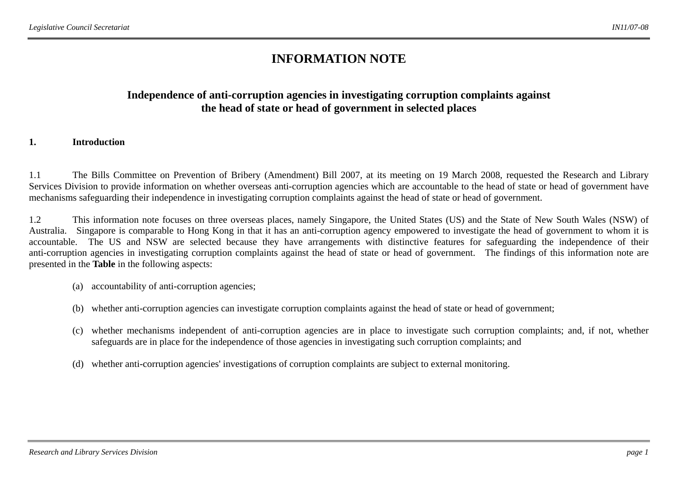## **INFORMATION NOTE**

## **Independence of anti-corruption agencies in investigating corruption complaints against the head of state or head of government in selected places**

## **1. Introduction**

1.1 The Bills Committee on Prevention of Bribery (Amendment) Bill 2007, at its meeting on 19 March 2008, requested the Research and Library Services Division to provide information on whether overseas anti-corruption agencies which are accountable to the head of state or head of government have mechanisms safeguarding their independence in investigating corruption complaints against the head of state or head of government.

1.2 This information note focuses on three overseas places, namely Singapore, the United States (US) and the State of New South Wales (NSW) of Australia. Singapore is comparable to Hong Kong in that it has an anti-corruption agency empowered to investigate the head of government to whom it is accountable. The US and NSW are selected because they have arrangements with distinctive features for safeguarding the independence of their anti-corruption agencies in investigating corruption complaints against the head of state or head of government. The findings of this information note are presented in the **Table** in the following aspects:

- (a) accountability of anti-corruption agencies;
- (b) whether anti-corruption agencies can investigate corruption complaints against the head of state or head of government;
- (c) whether mechanisms independent of anti-corruption agencies are in place to investigate such corruption complaints; and, if not, whether safeguards are in place for the independence of those agencies in investigating such corruption complaints; and
- (d) whether anti-corruption agencies' investigations of corruption complaints are subject to external monitoring.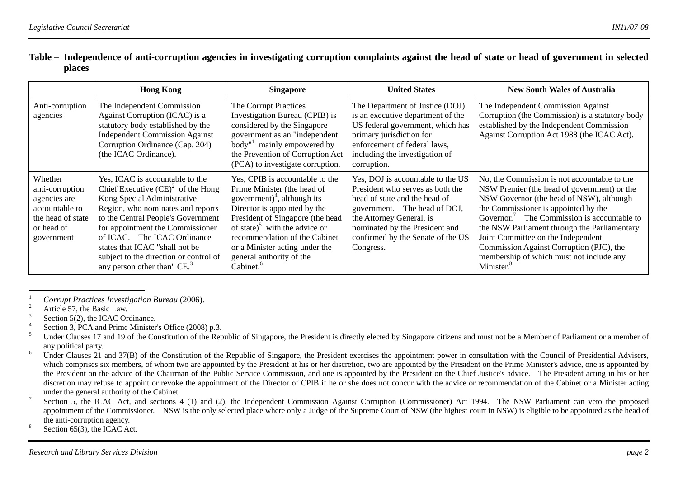|                                                                                                               | <b>Hong Kong</b>                                                                                                                                                                                                                                                                                                                                                             | <b>Singapore</b>                                                                                                                                                                                                                                                                                                                                   | <b>United States</b>                                                                                                                                                                                                                                   | <b>New South Wales of Australia</b>                                                                                                                                                                                                                                                                                                                                                                                                                |
|---------------------------------------------------------------------------------------------------------------|------------------------------------------------------------------------------------------------------------------------------------------------------------------------------------------------------------------------------------------------------------------------------------------------------------------------------------------------------------------------------|----------------------------------------------------------------------------------------------------------------------------------------------------------------------------------------------------------------------------------------------------------------------------------------------------------------------------------------------------|--------------------------------------------------------------------------------------------------------------------------------------------------------------------------------------------------------------------------------------------------------|----------------------------------------------------------------------------------------------------------------------------------------------------------------------------------------------------------------------------------------------------------------------------------------------------------------------------------------------------------------------------------------------------------------------------------------------------|
| Anti-corruption<br>agencies                                                                                   | The Independent Commission<br>Against Corruption (ICAC) is a<br>statutory body established by the<br><b>Independent Commission Against</b><br>Corruption Ordinance (Cap. 204)<br>(the ICAC Ordinance).                                                                                                                                                                       | The Corrupt Practices<br>Investigation Bureau (CPIB) is<br>considered by the Singapore<br>government as an "independent<br>body" <sup>1</sup> mainly empowered by<br>the Prevention of Corruption Act<br>(PCA) to investigate corruption.                                                                                                          | The Department of Justice (DOJ)<br>is an executive department of the<br>US federal government, which has<br>primary jurisdiction for<br>enforcement of federal laws,<br>including the investigation of<br>corruption.                                  | The Independent Commission Against<br>Corruption (the Commission) is a statutory body<br>established by the Independent Commission<br>Against Corruption Act 1988 (the ICAC Act).                                                                                                                                                                                                                                                                  |
| Whether<br>anti-corruption<br>agencies are<br>accountable to<br>the head of state<br>or head of<br>government | Yes, ICAC is accountable to the<br>Chief Executive $(CE)^2$ of the Hong<br>Kong Special Administrative<br>Region, who nominates and reports<br>to the Central People's Government<br>for appointment the Commissioner<br>of ICAC. The ICAC Ordinance<br>states that ICAC "shall not be<br>subject to the direction or control of<br>any person other than" $CE$ <sup>3</sup> | Yes, CPIB is accountable to the<br>Prime Minister (the head of<br>government) <sup>4</sup> , although its<br>Director is appointed by the<br>President of Singapore (the head<br>of state) <sup>5</sup> with the advice or<br>recommendation of the Cabinet<br>or a Minister acting under the<br>general authority of the<br>Cabinet. <sup>6</sup> | Yes, DOJ is accountable to the US<br>President who serves as both the<br>head of state and the head of<br>government. The head of DOJ,<br>the Attorney General, is<br>nominated by the President and<br>confirmed by the Senate of the US<br>Congress. | No, the Commission is not accountable to the<br>NSW Premier (the head of government) or the<br>NSW Governor (the head of NSW), although<br>the Commissioner is appointed by the<br>Governor. <sup>7</sup> The Commission is accountable to<br>the NSW Parliament through the Parliamentary<br>Joint Committee on the Independent<br>Commission Against Corruption (PJC), the<br>membership of which must not include any<br>Minister. <sup>8</sup> |

*Corrupt Practices Investigation Bureau* (2006).

<sup>&</sup>lt;sup>2</sup> Article 57, the Basic Law.

Section 5(2), the ICAC Ordinance.

<sup>&</sup>lt;sup>4</sup> Section 3, PCA and Prime Minister's Office (2008) p.3.<br> $\frac{5}{2}$  Herbert Glass 17 and 10 of the Granity time of the Den

Under Clauses 17 and 19 of the Constitution of the Republic of Singapore, the President is directly elected by Singapore citizens and must not be a Member of Parliament or a member of any political party.

Under Clauses 21 and 37(B) of the Constitution of the Republic of Singapore, the President exercises the appointment power in consultation with the Council of Presidential Advisers, which comprises six members, of whom two are appointed by the President at his or her discretion, two are appointed by the President on the Prime Minister's advice, one is appointed by the President on the advice of the Chairman of the Public Service Commission, and one is appointed by the President on the Chief Justice's advice. The President acting in his or her discretion may refuse to appoint or revoke the appointment of the Director of CPIB if he or she does not concur with the advice or recommendation of the Cabinet or a Minister acting under the general authority of the Cabinet.

Section 5, the ICAC Act, and sections 4 (1) and (2), the Independent Commission Against Corruption (Commissioner) Act 1994. The NSW Parliament can veto the proposed appointment of the Commissioner. NSW is the only selected place where only a Judge of the Supreme Court of NSW (the highest court in NSW) is eligible to be appointed as the head of the anti-corruption agency.

Section 65(3), the ICAC Act.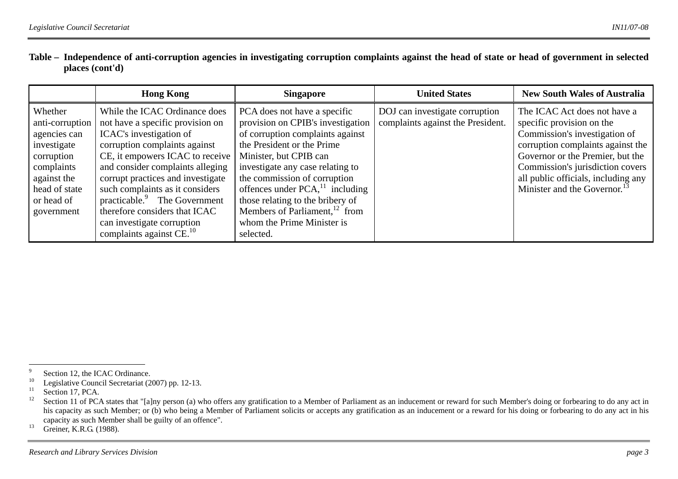|                                                                                                                                                   | <b>Hong Kong</b>                                                                                                                                                                                                                                                                                                                                                                                         | <b>Singapore</b>                                                                                                                                                                                                                                                                                                                                                                              | <b>United States</b>                                                | <b>New South Wales of Australia</b>                                                                                                                                                                                                                                                       |
|---------------------------------------------------------------------------------------------------------------------------------------------------|----------------------------------------------------------------------------------------------------------------------------------------------------------------------------------------------------------------------------------------------------------------------------------------------------------------------------------------------------------------------------------------------------------|-----------------------------------------------------------------------------------------------------------------------------------------------------------------------------------------------------------------------------------------------------------------------------------------------------------------------------------------------------------------------------------------------|---------------------------------------------------------------------|-------------------------------------------------------------------------------------------------------------------------------------------------------------------------------------------------------------------------------------------------------------------------------------------|
| Whether<br>anti-corruption<br>agencies can<br>investigate<br>corruption<br>complaints<br>against the<br>head of state<br>or head of<br>government | While the ICAC Ordinance does<br>not have a specific provision on<br>ICAC's investigation of<br>corruption complaints against<br>CE, it empowers ICAC to receive<br>and consider complaints alleging<br>corrupt practices and investigate<br>such complaints as it considers<br>practicable. The Government<br>therefore considers that ICAC<br>can investigate corruption<br>complaints against $CE.10$ | PCA does not have a specific<br>provision on CPIB's investigation<br>of corruption complaints against<br>the President or the Prime<br>Minister, but CPIB can<br>investigate any case relating to<br>the commission of corruption<br>offences under $PCA1111$ including<br>those relating to the bribery of<br>Members of Parliament, $^{12}$ from<br>whom the Prime Minister is<br>selected. | DOJ can investigate corruption<br>complaints against the President. | The ICAC Act does not have a<br>specific provision on the<br>Commission's investigation of<br>corruption complaints against the<br>Governor or the Premier, but the<br>Commission's jurisdiction covers<br>all public officials, including any<br>Minister and the Governor. <sup>1</sup> |

<sup>&</sup>lt;sup>9</sup> Section 12, the ICAC Ordinance.

<sup>&</sup>lt;sup>10</sup> Legislative Council Secretariat (2007) pp. 12-13.<br><sup>11</sup> Section 17, PCA

 $^{11}$  Section 17, PCA.

Section 11 of PCA states that "[a]ny person (a) who offers any gratification to a Member of Parliament as an inducement or reward for such Member's doing or forbearing to do any act in his capacity as such Member; or (b) who being a Member of Parliament solicits or accepts any gratification as an inducement or a reward for his doing or forbearing to do any act in his capacity as such Member shall be guilty of an offence".

<sup>13</sup> Greiner, K.R.G. (1988).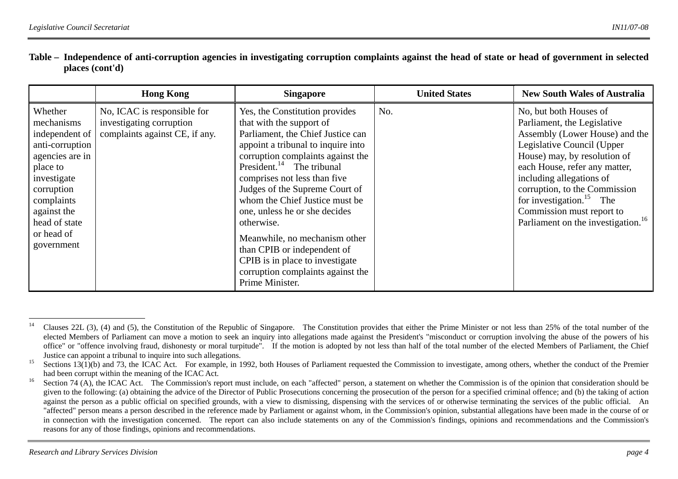|                                                                                                                                                                                                  | <b>Hong Kong</b>                                                                          | <b>Singapore</b>                                                                                                                                                                                                                                                                                                                                                                                                                                                                                                                  | <b>United States</b> | <b>New South Wales of Australia</b>                                                                                                                                                                                                                                                                                                                                        |
|--------------------------------------------------------------------------------------------------------------------------------------------------------------------------------------------------|-------------------------------------------------------------------------------------------|-----------------------------------------------------------------------------------------------------------------------------------------------------------------------------------------------------------------------------------------------------------------------------------------------------------------------------------------------------------------------------------------------------------------------------------------------------------------------------------------------------------------------------------|----------------------|----------------------------------------------------------------------------------------------------------------------------------------------------------------------------------------------------------------------------------------------------------------------------------------------------------------------------------------------------------------------------|
| Whether<br>mechanisms<br>independent of<br>anti-corruption<br>agencies are in<br>place to<br>investigate<br>corruption<br>complaints<br>against the<br>head of state<br>or head of<br>government | No, ICAC is responsible for<br>investigating corruption<br>complaints against CE, if any. | Yes, the Constitution provides<br>that with the support of<br>Parliament, the Chief Justice can<br>appoint a tribunal to inquire into<br>corruption complaints against the<br>President. <sup>14</sup> The tribunal<br>comprises not less than five<br>Judges of the Supreme Court of<br>whom the Chief Justice must be<br>one, unless he or she decides<br>otherwise.<br>Meanwhile, no mechanism other<br>than CPIB or independent of<br>CPIB is in place to investigate<br>corruption complaints against the<br>Prime Minister. | No.                  | No, but both Houses of<br>Parliament, the Legislative<br>Assembly (Lower House) and the<br>Legislative Council (Upper<br>House) may, by resolution of<br>each House, refer any matter,<br>including allegations of<br>corruption, to the Commission<br>for investigation. <sup>15</sup> The<br>Commission must report to<br>Parliament on the investigation. <sup>16</sup> |

<sup>&</sup>lt;sup>14</sup> Clauses 22L (3), (4) and (5), the Constitution of the Republic of Singapore. The Constitution provides that either the Prime Minister or not less than 25% of the total number of the elected Members of Parliament can move a motion to seek an inquiry into allegations made against the President's "misconduct or corruption involving the abuse of the powers of his office" or "offence involving fraud, dishonesty or moral turpitude". If the motion is adopted by not less than half of the total number of the elected Members of Parliament, the Chief Justice can appoint a tribunal to inquire into such allegations.

<sup>&</sup>lt;sup>15</sup> Sections 13(1)(b) and 73, the ICAC Act. For example, in 1992, both Houses of Parliament requested the Commission to investigate, among others, whether the conduct of the Premier had been corrupt within the meaning of the ICAC Act.

Section 74 (A), the ICAC Act. The Commission's report must include, on each "affected" person, a statement on whether the Commission is of the opinion that consideration should be given to the following: (a) obtaining the advice of the Director of Public Prosecutions concerning the prosecution of the person for a specified criminal offence; and (b) the taking of action against the person as a public official on specified grounds, with a view to dismissing, dispensing with the services of or otherwise terminating the services of the public official. An "affected" person means a person described in the reference made by Parliament or against whom, in the Commission's opinion, substantial allegations have been made in the course of or in connection with the investigation concerned. The report can also include statements on any of the Commission's findings, opinions and recommendations and the Commission's reasons for any of those findings, opinions and recommendations.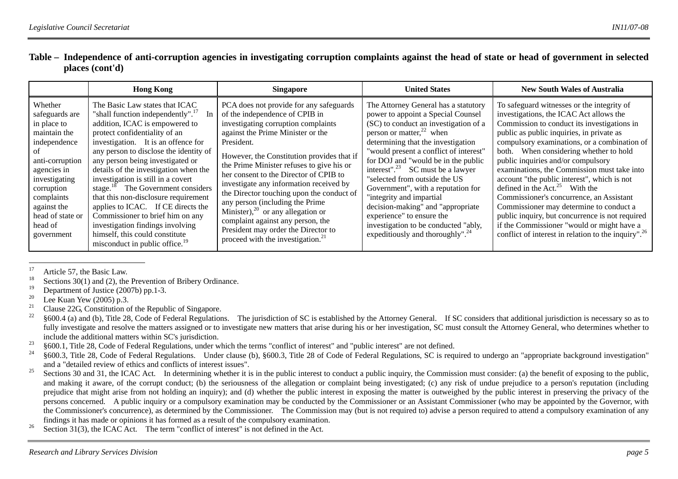|                                                                                                                                                                                                                           | <b>Hong Kong</b>                                                                                                                                                                                                                                                                                                                                                                                                                                                                                                                                                                                                                        | <b>Singapore</b>                                                                                                                                                                                                                                                                                                                                                                                                                                                                                                                                                                                   | <b>United States</b>                                                                                                                                                                                                                                                                                                                                                                                                                                                                                                                                                          | <b>New South Wales of Australia</b>                                                                                                                                                                                                                                                                                                                                                                                                                                                                                                                                                                                                                                                                             |
|---------------------------------------------------------------------------------------------------------------------------------------------------------------------------------------------------------------------------|-----------------------------------------------------------------------------------------------------------------------------------------------------------------------------------------------------------------------------------------------------------------------------------------------------------------------------------------------------------------------------------------------------------------------------------------------------------------------------------------------------------------------------------------------------------------------------------------------------------------------------------------|----------------------------------------------------------------------------------------------------------------------------------------------------------------------------------------------------------------------------------------------------------------------------------------------------------------------------------------------------------------------------------------------------------------------------------------------------------------------------------------------------------------------------------------------------------------------------------------------------|-------------------------------------------------------------------------------------------------------------------------------------------------------------------------------------------------------------------------------------------------------------------------------------------------------------------------------------------------------------------------------------------------------------------------------------------------------------------------------------------------------------------------------------------------------------------------------|-----------------------------------------------------------------------------------------------------------------------------------------------------------------------------------------------------------------------------------------------------------------------------------------------------------------------------------------------------------------------------------------------------------------------------------------------------------------------------------------------------------------------------------------------------------------------------------------------------------------------------------------------------------------------------------------------------------------|
| Whether<br>safeguards are<br>in place to<br>maintain the<br>independence<br>ΩŤ<br>anti-corruption<br>agencies in<br>investigating<br>corruption<br>complaints<br>against the<br>head of state or<br>head of<br>government | The Basic Law states that ICAC<br>"shall function independently". <sup>17</sup><br>addition, ICAC is empowered to<br>protect confidentiality of an<br>investigation. It is an offence for<br>any person to disclose the identity of<br>any person being investigated or<br>details of the investigation when the<br>investigation is still in a covert<br>stage. $18$<br>The Government considers<br>that this non-disclosure requirement<br>applies to ICAC. If CE directs the<br>Commissioner to brief him on any<br>investigation findings involving<br>himself, this could constitute<br>misconduct in public office. <sup>19</sup> | PCA does not provide for any safeguards<br>of the independence of CPIB in<br>investigating corruption complaints<br>against the Prime Minister or the<br>President.<br>However, the Constitution provides that if<br>the Prime Minister refuses to give his or<br>her consent to the Director of CPIB to<br>investigate any information received by<br>the Director touching upon the conduct of<br>any person (including the Prime<br>Minister), $^{20}$ or any allegation or<br>complaint against any person, the<br>President may order the Director to<br>proceed with the investigation. $21$ | The Attorney General has a statutory<br>power to appoint a Special Counsel<br>(SC) to conduct an investigation of a<br>person or matter, $^{22}$ when<br>determining that the investigation<br>"would present a conflict of interest"<br>for DOJ and "would be in the public<br>interest". $^{23}$ SC must be a lawyer<br>"selected from outside the US<br>Government", with a reputation for<br>"integrity and impartial<br>decision-making" and "appropriate<br>experience" to ensure the<br>investigation to be conducted "ably,<br>expeditiously and thoroughly". $^{24}$ | To safeguard witnesses or the integrity of<br>investigations, the ICAC Act allows the<br>Commission to conduct its investigations in<br>public as public inquiries, in private as<br>compulsory examinations, or a combination of<br>both. When considering whether to hold<br>public inquiries and/or compulsory<br>examinations, the Commission must take into<br>account "the public interest", which is not<br>defined in the Act. <sup>25</sup> With the<br>Commissioner's concurrence, an Assistant<br>Commissioner may determine to conduct a<br>public inquiry, but concurrence is not required<br>if the Commissioner "would or might have a<br>conflict of interest in relation to the inquiry". $26$ |

<sup>17</sup> Article 57, the Basic Law.

<sup>18</sup> Sections 30(1) and (2), the Prevention of Bribery Ordinance.<br><sup>19</sup> Department of Justice (2007b) np 1.2

<sup>19</sup> Department of Justice (2007b) pp.1-3.<br><sup>20</sup> Les *V*usse *Nam* (2005) n <sup>2</sup>

<sup>20</sup> Lee Kuan Yew (2005) p.3.<br><sup>21</sup> Clause 22C Constitution a

- <sup>21</sup> Clause 22G, Constitution of the Republic of Singapore.<br><sup>22</sup> 8600.4 (a) and (b) Title 28, Code of Eadam Boardation
- 22 §600.4 (a) and (b), Title 28, Code of Federal Regulations. The jurisdiction of SC is established by the Attorney General. If SC considers that additional jurisdiction is necessary so as to fully investigate and resolve the matters assigned or to investigate new matters that arise during his or her investigation, SC must consult the Attorney General, who determines whether to include the additional matters within SC's jurisdiction.
- $^{23}$  §600.1, Title 28, Code of Federal Regulations, under which the terms "conflict of interest" and "public interest" are not defined.<br>  $^{24}$  §600.2. Title 28, Code of Endand Regulations. Under alones (b) §600.2. Titl
- 24 §600.3, Title 28, Code of Federal Regulations. Under clause (b), §600.3, Title 28 of Code of Federal Regulations, SC is required to undergo an "appropriate background investigation" and a "detailed review of ethics and conflicts of interest issues".
- <sup>25</sup> Sections 30 and 31, the ICAC Act. In determining whether it is in the public interest to conduct a public inquiry, the Commission must consider: (a) the benefit of exposing to the public, and making it aware, of the corrupt conduct; (b) the seriousness of the allegation or complaint being investigated; (c) any risk of undue prejudice to a person's reputation (including prejudice that might arise from not holding an inquiry); and (d) whether the public interest in exposing the matter is outweighed by the public interest in preserving the privacy of the persons concerned. A public inquiry or a compulsory examination may be conducted by the Commissioner or an Assistant Commissioner (who may be appointed by the Governor, with the Commissioner's concurrence), as determined by the Commissioner. The Commission may (but is not required to) advise a person required to attend a compulsory examination of any findings it has made or opinions it has formed as a result of the compulsory examination.
- <sup>26</sup> Section 31(3), the ICAC Act. The term "conflict of interest" is not defined in the Act.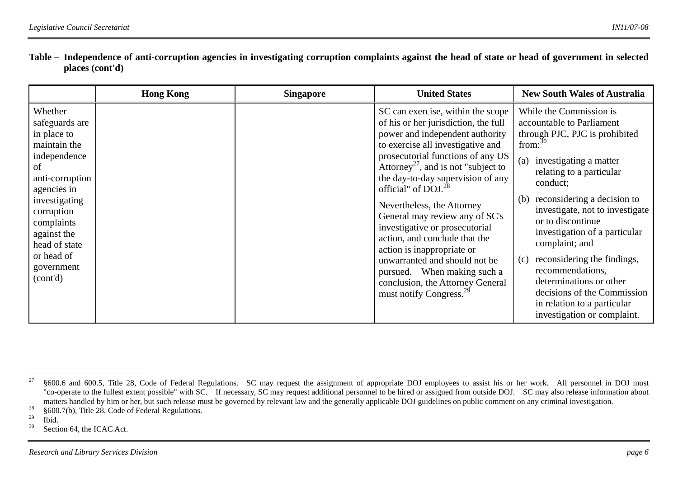|                                                                                                                                                                                                                                       | <b>Hong Kong</b> | <b>Singapore</b> | <b>United States</b>                                                                                                                                                                                                                                                                                                                                                                                                                                                                                                                                                                                                          | <b>New South Wales of Australia</b>                                                                                                                                                                                                                                                                                                                                                                                                                                                                              |
|---------------------------------------------------------------------------------------------------------------------------------------------------------------------------------------------------------------------------------------|------------------|------------------|-------------------------------------------------------------------------------------------------------------------------------------------------------------------------------------------------------------------------------------------------------------------------------------------------------------------------------------------------------------------------------------------------------------------------------------------------------------------------------------------------------------------------------------------------------------------------------------------------------------------------------|------------------------------------------------------------------------------------------------------------------------------------------------------------------------------------------------------------------------------------------------------------------------------------------------------------------------------------------------------------------------------------------------------------------------------------------------------------------------------------------------------------------|
| Whether<br>safeguards are<br>in place to<br>maintain the<br>independence<br>of<br>anti-corruption<br>agencies in<br>investigating<br>corruption<br>complaints<br>against the<br>head of state<br>or head of<br>government<br>(cont'd) |                  |                  | SC can exercise, within the scope<br>of his or her jurisdiction, the full<br>power and independent authority<br>to exercise all investigative and<br>prosecutorial functions of any US<br>Attorney <sup>27</sup> , and is not "subject to<br>the day-to-day supervision of any<br>official" of DOJ. <sup>28</sup><br>Nevertheless, the Attorney<br>General may review any of SC's<br>investigative or prosecutorial<br>action, and conclude that the<br>action is inappropriate or<br>unwarranted and should not be<br>pursued. When making such a<br>conclusion, the Attorney General<br>must notify Congress. <sup>29</sup> | While the Commission is<br>accountable to Parliament<br>through PJC, PJC is prohibited<br>from: $30$<br>investigating a matter<br>(a)<br>relating to a particular<br>conduct;<br>reconsidering a decision to<br>(b)<br>investigate, not to investigate<br>or to discontinue<br>investigation of a particular<br>complaint; and<br>reconsidering the findings,<br>(c)<br>recommendations,<br>determinations or other<br>decisions of the Commission<br>in relation to a particular<br>investigation or complaint. |

Ibid.

 $27\frac{127}{120}$  §600.6 and 600.5, Title 28, Code of Federal Regulations. SC may request the assignment of appropriate DOJ employees to assist his or her work. All personnel in DOJ must "co-operate to the fullest extent possible" with SC. If necessary, SC may request additional personnel to be hired or assigned from outside DOJ. SC may also release information about matters handled by him or her, but such release must be governed by relevant law and the generally applicable DOJ guidelines on public comment on any criminal investigation.

 $\frac{28}{29}$  §600.7(b), Title 28, Code of Federal Regulations.

<sup>&</sup>lt;sup>30</sup> Section 64, the ICAC Act.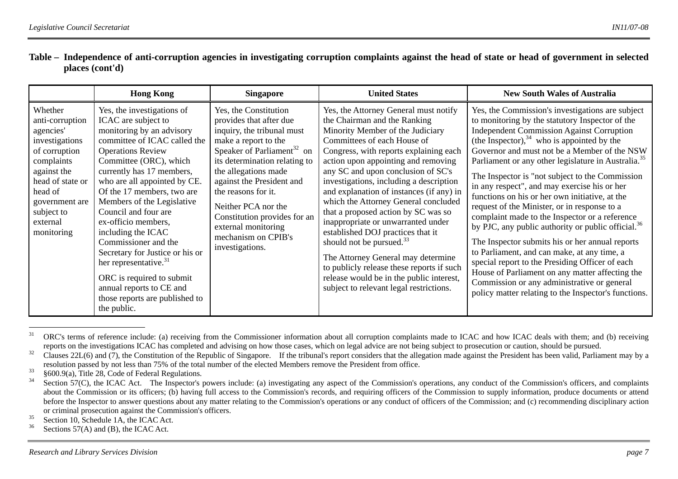|                                                                                                                                                                                                  | <b>Hong Kong</b>                                                                                                                                                                                                                                                                                                                                                                                                                                                                                                                                                             | <b>Singapore</b>                                                                                                                                                                                                                                                                                                                                                                      | <b>United States</b>                                                                                                                                                                                                                                                                                                                                                                                                                                                                                                                                                                                                                                                                                                      | <b>New South Wales of Australia</b>                                                                                                                                                                                                                                                                                                                                                                                                                                                                                                                                                                                                                                                                                                                                                                                                                                                                                                                                  |
|--------------------------------------------------------------------------------------------------------------------------------------------------------------------------------------------------|------------------------------------------------------------------------------------------------------------------------------------------------------------------------------------------------------------------------------------------------------------------------------------------------------------------------------------------------------------------------------------------------------------------------------------------------------------------------------------------------------------------------------------------------------------------------------|---------------------------------------------------------------------------------------------------------------------------------------------------------------------------------------------------------------------------------------------------------------------------------------------------------------------------------------------------------------------------------------|---------------------------------------------------------------------------------------------------------------------------------------------------------------------------------------------------------------------------------------------------------------------------------------------------------------------------------------------------------------------------------------------------------------------------------------------------------------------------------------------------------------------------------------------------------------------------------------------------------------------------------------------------------------------------------------------------------------------------|----------------------------------------------------------------------------------------------------------------------------------------------------------------------------------------------------------------------------------------------------------------------------------------------------------------------------------------------------------------------------------------------------------------------------------------------------------------------------------------------------------------------------------------------------------------------------------------------------------------------------------------------------------------------------------------------------------------------------------------------------------------------------------------------------------------------------------------------------------------------------------------------------------------------------------------------------------------------|
| Whether<br>anti-corruption<br>agencies'<br>investigations<br>of corruption<br>complaints<br>against the<br>head of state or<br>head of<br>government are<br>subject to<br>external<br>monitoring | Yes, the investigations of<br>ICAC are subject to<br>monitoring by an advisory<br>committee of ICAC called the<br><b>Operations Review</b><br>Committee (ORC), which<br>currently has 17 members,<br>who are all appointed by CE.<br>Of the 17 members, two are<br>Members of the Legislative<br>Council and four are<br>ex-officio members,<br>including the ICAC<br>Commissioner and the<br>Secretary for Justice or his or<br>her representative. <sup>31</sup><br>ORC is required to submit<br>annual reports to CE and<br>those reports are published to<br>the public. | Yes, the Constitution<br>provides that after due<br>inquiry, the tribunal must<br>make a report to the<br>Speaker of Parliament <sup>32</sup> on<br>its determination relating to<br>the allegations made<br>against the President and<br>the reasons for it.<br>Neither PCA nor the<br>Constitution provides for an<br>external monitoring<br>mechanism on CPIB's<br>investigations. | Yes, the Attorney General must notify<br>the Chairman and the Ranking<br>Minority Member of the Judiciary<br>Committees of each House of<br>Congress, with reports explaining each<br>action upon appointing and removing<br>any SC and upon conclusion of SC's<br>investigations, including a description<br>and explanation of instances (if any) in<br>which the Attorney General concluded<br>that a proposed action by SC was so<br>inappropriate or unwarranted under<br>established DOJ practices that it<br>should not be pursued. $33$<br>The Attorney General may determine<br>to publicly release these reports if such<br>release would be in the public interest,<br>subject to relevant legal restrictions. | Yes, the Commission's investigations are subject<br>to monitoring by the statutory Inspector of the<br><b>Independent Commission Against Corruption</b><br>(the Inspector), $34$ who is appointed by the<br>Governor and must not be a Member of the NSW<br>Parliament or any other legislature in Australia. <sup>35</sup><br>The Inspector is "not subject to the Commission"<br>in any respect", and may exercise his or her<br>functions on his or her own initiative, at the<br>request of the Minister, or in response to a<br>complaint made to the Inspector or a reference<br>by PJC, any public authority or public official. <sup>36</sup><br>The Inspector submits his or her annual reports<br>to Parliament, and can make, at any time, a<br>special report to the Presiding Officer of each<br>House of Parliament on any matter affecting the<br>Commission or any administrative or general<br>policy matter relating to the Inspector's functions. |

<sup>&</sup>lt;sup>31</sup> ORC's terms of reference include: (a) receiving from the Commissioner information about all corruption complaints made to ICAC and how ICAC deals with them; and (b) receiving reports on the investigations ICAC has completed and advising on how those cases, which on legal advice are not being subject to prosecution or caution, should be pursued.

 $\frac{32}{2}$  Clauses 22L(6) and (7), the Constitution of the Republic of Singapore. If the tribunal's report considers that the allegation made against the President has been valid, Parliament may by a resolution passed by not less than 75% of the total number of the elected Members remove the President from office.

 $\frac{33}{34}$  §600.9(a), Title 28, Code of Federal Regulations.

Section 57(C), the ICAC Act. The Inspector's powers include: (a) investigating any aspect of the Commission's operations, any conduct of the Commission's officers, and complaints about the Commission or its officers; (b) having full access to the Commission's records, and requiring officers of the Commission to supply information, produce documents or attend before the Inspector to answer questions about any matter relating to the Commission's operations or any conduct of officers of the Commission; and (c) recommending disciplinary action or criminal prosecution against the Commission's officers.

<sup>&</sup>lt;sup>35</sup> Section 10, Schedule 1A, the ICAC Act.<br><sup>36</sup> Sections 57(A) and (B), the ICAC Act.

Sections  $57(A)$  and (B), the ICAC Act.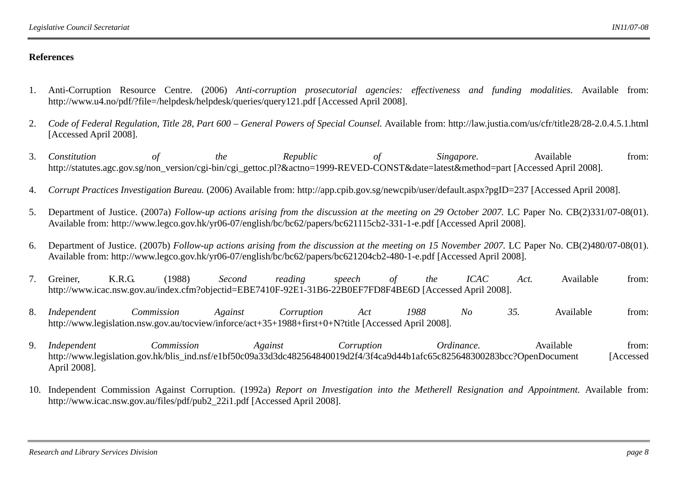## **References**

- 1. Anti-Corruption Resource Centre. (2006) *Anti-corruption prosecutorial agencies: effectiveness and funding modalities.* Available from: http://www.u4.no/pdf/?file=/helpdesk/helpdesk/queries/query121.pdf [Accessed April 2008].
- 2.Code of Federal Regulation, Title 28, Part 600 – General Powers of Special Counsel. Available from: http://law.justia.com/us/cfr/title28/28-2.0.4.5.1.html [Accessed April 2008].
- 3. *Constitution of the Republic of Singapore.* Available from: http://statutes.agc.gov.sg/non\_version/cgi-bin/cgi\_gettoc.pl?&actno=1999-REVED-CONST&date=latest&method=part [Accessed April 2008].
- 4.*Corrupt Practices Investigation Bureau.* (2006) Available from: http://app.cpib.gov.sg/newcpib/user/default.aspx?pgID=237 [Accessed April 2008].
- 5. Department of Justice. (2007a) *Follow-up actions arising from the discussion at the meeting on 29 October 2007.* LC Paper No. CB(2)331/07-08(01). Available from: http://www.legco.gov.hk/yr06-07/english/bc/bc62/papers/bc621115cb2-331-1-e.pdf [Accessed April 2008].
- 6. Department of Justice. (2007b) *Follow-up actions arising from the discussion at the meeting on 15 November 2007.* LC Paper No. CB(2)480/07-08(01). Available from: http://www.legco.gov.hk/yr06-07/english/bc/bc62/papers/bc621204cb2-480-1-e.pdf [Accessed April 2008].
- 7. Greiner, K.R.G. (1988) *Second reading speech of the ICAC Act.* Available from: http://www.icac.nsw.gov.au/index.cfm?objectid=EBE7410F-92E1-31B6-22B0EF7FD8F4BE6D [Accessed April 2008].
- 8. *Independent Commission Against Corruption Act 1988 No 35.* Available from: http://www.legislation.nsw.gov.au/tocview/inforce/act+35+1988+first+0+N?title [Accessed April 2008].
- 9. *Independent Commission Against Corruption Ordinance.* Available from: http://www.legislation.gov.hk/blis\_ind.nsf/e1bf50c09a33d3dc482564840019d2f4/3f4ca9d44b1afc65c825648300283bcc?OpenDocument [Accessed] April 2008].
- 10. Independent Commission Against Corruption. (1992a) *Report on Investigation into the Metherell Resignation and Appointment.* Available from: http://www.icac.nsw.gov.au/files/pdf/pub2\_22i1.pdf [Accessed April 2008].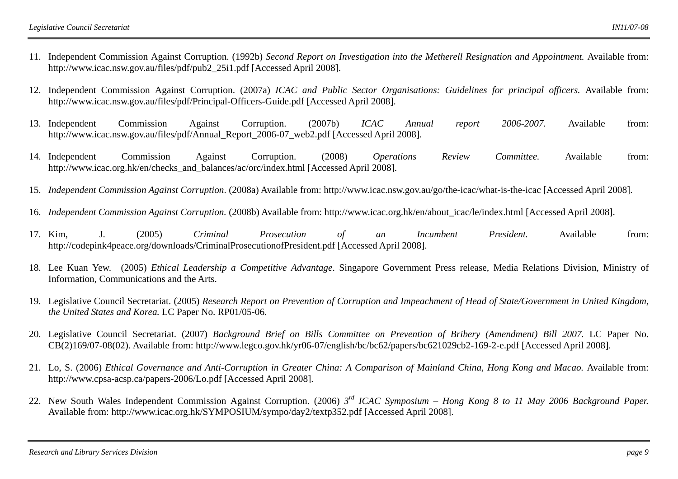- 11. Independent Commission Against Corruption. (1992b) *Second Report on Investigation into the Metherell Resignation and Appointment.* Available from: http://www.icac.nsw.gov.au/files/pdf/pub2\_25i1.pdf [Accessed April 2008].
- 12. Independent Commission Against Corruption. (2007a) *ICAC and Public Sector Organisations: Guidelines for principal officers.* Available from: http://www.icac.nsw.gov.au/files/pdf/Principal-Officers-Guide.pdf [Accessed April 2008].
- 13. Independent Independent Commission Against Corruption. (2007b) *ICAC Annual report 2006-2007.* Available from: http://www.icac.nsw.gov.au/files/pdf/Annual\_Report\_2006-07\_web2.pdf [Accessed April 2008].
- 14. Independent Independent Commission Against Corruption. (2008) *Operations Review Committee.* Available from: http://www.icac.org.hk/en/checks\_and\_balances/ac/orc/index.html [Accessed April 2008].
- 15. *Independent Commission Against Corruption*. (2008a) Available from: http://www.icac.nsw.gov.au/go/the-icac/what-is-the-icac [Accessed April 2008].
- 16. *Independent Commission Against Corruption.* (2008b) Available from: http://www.icac.org.hk/en/about\_icac/le/index.html [Accessed April 2008].
- 17. Kim. Kim, J. (2005) *Criminal Prosecution of an Incumbent President.* Available from: http://codepink4peace.org/downloads/CriminalProsecutionofPresident.pdf [Accessed April 2008].
- 18. Lee Kuan Yew. (2005) *Ethical Leadership a Competitive Advantage*. Singapore Government Press release, Media Relations Division, Ministry of Information, Communications and the Arts.
- 19. Legislative Council Secretariat. (2005) *Research Report on Prevention of Corruption and Impeachment of Head of State/Government in United Kingdom, the United States and Korea.* LC Paper No. RP01/05-06.
- 20. Legislative Council Secretariat. (2007) *Background Brief on Bills Committee on Prevention of Bribery (Amendment) Bill 2007.* LC Paper No. CB(2)169/07-08(02). Available from: http://www.legco.gov.hk/yr06-07/english/bc/bc62/papers/bc621029cb2-169-2-e.pdf [Accessed April 2008].
- 21. Lo, S. (2006) *Ethical Governance and Anti-Corruption in Greater China: A Comparison of Mainland China, Hong Kong and Macao.* Available from: http://www.cpsa-acsp.ca/papers-2006/Lo.pdf [Accessed April 2008].
- 22. New South Wales Independent Commission Against Corruption. (2006) *3rd ICAC Symposium Hong Kong 8 to 11 May 2006 Background Paper.*  Available from: http://www.icac.org.hk/SYMPOSIUM/sympo/day2/textp352.pdf [Accessed April 2008].